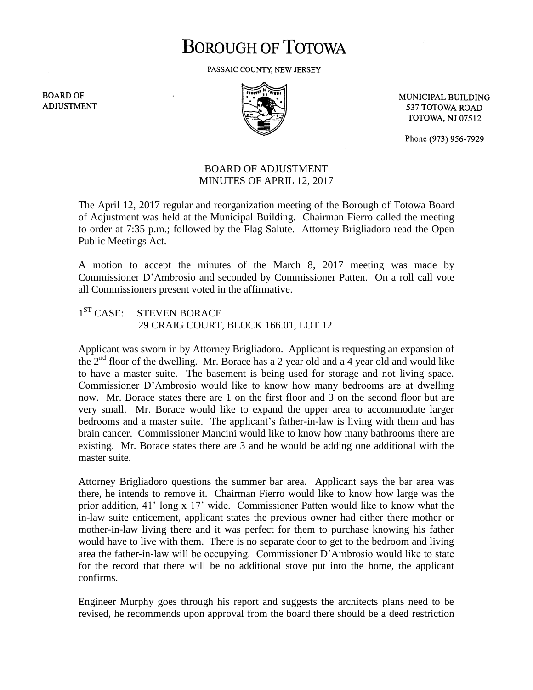## **BOROUGH OF TOTOWA**

PASSAIC COUNTY, NEW JERSEY

**BOARD OF ADJUSTMENT** 



MUNICIPAL BUILDING 537 TOTOWA ROAD **TOTOWA, NJ 07512** 

Phone (973) 956-7929

## BOARD OF ADJUSTMENT MINUTES OF APRIL 12, 2017

The April 12, 2017 regular and reorganization meeting of the Borough of Totowa Board of Adjustment was held at the Municipal Building. Chairman Fierro called the meeting to order at 7:35 p.m.; followed by the Flag Salute. Attorney Brigliadoro read the Open Public Meetings Act.

A motion to accept the minutes of the March 8, 2017 meeting was made by Commissioner D'Ambrosio and seconded by Commissioner Patten. On a roll call vote all Commissioners present voted in the affirmative.

 $1<sup>ST</sup> CASE:$ STEVEN BORACE 29 CRAIG COURT, BLOCK 166.01, LOT 12

Applicant was sworn in by Attorney Brigliadoro. Applicant is requesting an expansion of the  $2<sup>nd</sup>$  floor of the dwelling. Mr. Borace has a 2 year old and a 4 year old and would like to have a master suite. The basement is being used for storage and not living space. Commissioner D'Ambrosio would like to know how many bedrooms are at dwelling now. Mr. Borace states there are 1 on the first floor and 3 on the second floor but are very small. Mr. Borace would like to expand the upper area to accommodate larger bedrooms and a master suite. The applicant's father-in-law is living with them and has brain cancer. Commissioner Mancini would like to know how many bathrooms there are existing. Mr. Borace states there are 3 and he would be adding one additional with the master suite.

Attorney Brigliadoro questions the summer bar area. Applicant says the bar area was there, he intends to remove it. Chairman Fierro would like to know how large was the prior addition, 41' long x 17' wide. Commissioner Patten would like to know what the in-law suite enticement, applicant states the previous owner had either there mother or mother-in-law living there and it was perfect for them to purchase knowing his father would have to live with them. There is no separate door to get to the bedroom and living area the father-in-law will be occupying. Commissioner D'Ambrosio would like to state for the record that there will be no additional stove put into the home, the applicant confirms.

Engineer Murphy goes through his report and suggests the architects plans need to be revised, he recommends upon approval from the board there should be a deed restriction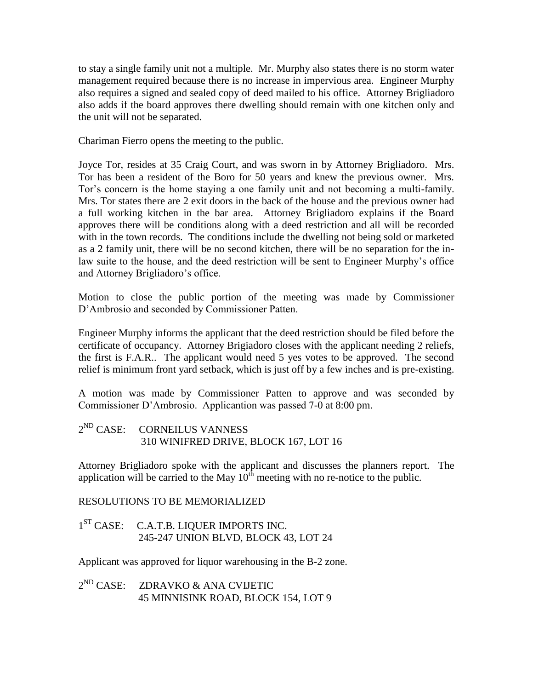to stay a single family unit not a multiple. Mr. Murphy also states there is no storm water management required because there is no increase in impervious area. Engineer Murphy also requires a signed and sealed copy of deed mailed to his office. Attorney Brigliadoro also adds if the board approves there dwelling should remain with one kitchen only and the unit will not be separated.

Chariman Fierro opens the meeting to the public.

Joyce Tor, resides at 35 Craig Court, and was sworn in by Attorney Brigliadoro. Mrs. Tor has been a resident of the Boro for 50 years and knew the previous owner. Mrs. Tor's concern is the home staying a one family unit and not becoming a multi-family. Mrs. Tor states there are 2 exit doors in the back of the house and the previous owner had a full working kitchen in the bar area. Attorney Brigliadoro explains if the Board approves there will be conditions along with a deed restriction and all will be recorded with in the town records. The conditions include the dwelling not being sold or marketed as a 2 family unit, there will be no second kitchen, there will be no separation for the inlaw suite to the house, and the deed restriction will be sent to Engineer Murphy's office and Attorney Brigliadoro's office.

Motion to close the public portion of the meeting was made by Commissioner D'Ambrosio and seconded by Commissioner Patten.

Engineer Murphy informs the applicant that the deed restriction should be filed before the certificate of occupancy. Attorney Brigiadoro closes with the applicant needing 2 reliefs, the first is F.A.R.. The applicant would need 5 yes votes to be approved. The second relief is minimum front yard setback, which is just off by a few inches and is pre-existing.

A motion was made by Commissioner Patten to approve and was seconded by Commissioner D'Ambrosio. Applicantion was passed 7-0 at 8:00 pm.

2<sup>ND</sup> CASE: CORNEILUS VANNESS 310 WINIFRED DRIVE, BLOCK 167, LOT 16

Attorney Brigliadoro spoke with the applicant and discusses the planners report. The application will be carried to the May  $10^{th}$  meeting with no re-notice to the public.

RESOLUTIONS TO BE MEMORIALIZED

1<sup>ST</sup> CASE: C.A.T.B. LIQUER IMPORTS INC. 245-247 UNION BLVD, BLOCK 43, LOT 24

Applicant was approved for liquor warehousing in the B-2 zone.

 $2^{ND}$  CASE: ZDRAVKO & ANA CVIJETIC 45 MINNISINK ROAD, BLOCK 154, LOT 9